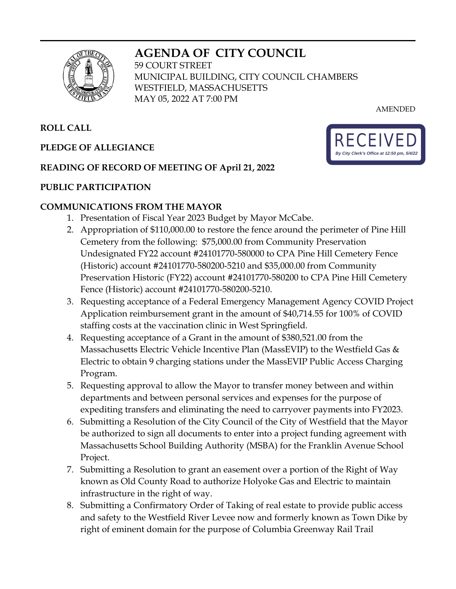# **AGENDA OF CITY COUNCIL**



59 COURT STREET MUNICIPAL BUILDING, CITY COUNCIL CHAMBERS WESTFIELD, MASSACHUSETTS MAY 05, 2022 AT 7:00 PM

AMENDED

# **ROLL CALL**

# **PLEDGE OF ALLEGIANCE**

## **READING OF RECORD OF MEETING OF April 21, 2022**

## **PUBLIC PARTICIPATION**

## **COMMUNICATIONS FROM THE MAYOR**

- 1. Presentation of Fiscal Year 2023 Budget by Mayor McCabe.
- 2. Appropriation of \$110,000.00 to restore the fence around the perimeter of Pine Hill Cemetery from the following: \$75,000.00 from Community Preservation Undesignated FY22 account #24101770-580000 to CPA Pine Hill Cemetery Fence (Historic) account #24101770-580200-5210 and \$35,000.00 from Community Preservation Historic (FY22) account #24101770-580200 to CPA Pine Hill Cemetery Fence (Historic) account #24101770-580200-5210.
- 3. Requesting acceptance of a Federal Emergency Management Agency COVID Project Application reimbursement grant in the amount of \$40,714.55 for 100% of COVID staffing costs at the vaccination clinic in West Springfield.
- 4. Requesting acceptance of a Grant in the amount of \$380,521.00 from the Massachusetts Electric Vehicle Incentive Plan (MassEVIP) to the Westfield Gas & Electric to obtain 9 charging stations under the MassEVIP Public Access Charging Program.
- 5. Requesting approval to allow the Mayor to transfer money between and within departments and between personal services and expenses for the purpose of expediting transfers and eliminating the need to carryover payments into FY2023.
- 6. Submitting a Resolution of the City Council of the City of Westfield that the Mayor be authorized to sign all documents to enter into a project funding agreement with Massachusetts School Building Authority (MSBA) for the Franklin Avenue School Project.
- 7. Submitting a Resolution to grant an easement over a portion of the Right of Way known as Old County Road to authorize Holyoke Gas and Electric to maintain infrastructure in the right of way.
- 8. Submitting a Confirmatory Order of Taking of real estate to provide public access and safety to the Westfield River Levee now and formerly known as Town Dike by right of eminent domain for the purpose of Columbia Greenway Rail Trail

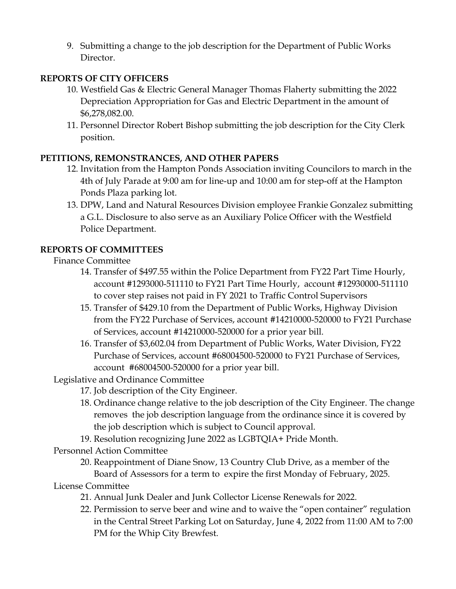9. Submitting a change to the job description for the Department of Public Works Director.

# **REPORTS OF CITY OFFICERS**

- 10. Westfield Gas & Electric General Manager Thomas Flaherty submitting the 2022 Depreciation Appropriation for Gas and Electric Department in the amount of \$6,278,082.00.
- 11. Personnel Director Robert Bishop submitting the job description for the City Clerk position.

## **PETITIONS, REMONSTRANCES, AND OTHER PAPERS**

- 12. Invitation from the Hampton Ponds Association inviting Councilors to march in the 4th of July Parade at 9:00 am for line-up and 10:00 am for step-off at the Hampton Ponds Plaza parking lot.
- 13. DPW, Land and Natural Resources Division employee Frankie Gonzalez submitting a G.L. Disclosure to also serve as an Auxiliary Police Officer with the Westfield Police Department.

# **REPORTS OF COMMITTEES**

## Finance Committee

- 14. Transfer of \$497.55 within the Police Department from FY22 Part Time Hourly, account #1293000-511110 to FY21 Part Time Hourly, account #12930000-511110 to cover step raises not paid in FY 2021 to Traffic Control Supervisors
- 15. Transfer of \$429.10 from the Department of Public Works, Highway Division from the FY22 Purchase of Services, account #14210000-520000 to FY21 Purchase of Services, account #14210000-520000 for a prior year bill.
- 16. Transfer of \$3,602.04 from Department of Public Works, Water Division, FY22 Purchase of Services, account #68004500-520000 to FY21 Purchase of Services, account #68004500-520000 for a prior year bill.

Legislative and Ordinance Committee

- 17. Job description of the City Engineer.
- 18. Ordinance change relative to the job description of the City Engineer. The change removes the job description language from the ordinance since it is covered by the job description which is subject to Council approval.
- 19. Resolution recognizing June 2022 as LGBTQIA+ Pride Month.

Personnel Action Committee

20. Reappointment of Diane Snow, 13 Country Club Drive, as a member of the Board of Assessors for a term to expire the first Monday of February, 2025.

License Committee

- 21. Annual Junk Dealer and Junk Collector License Renewals for 2022.
- 22. Permission to serve beer and wine and to waive the "open container" regulation in the Central Street Parking Lot on Saturday, June 4, 2022 from 11:00 AM to 7:00 PM for the Whip City Brewfest.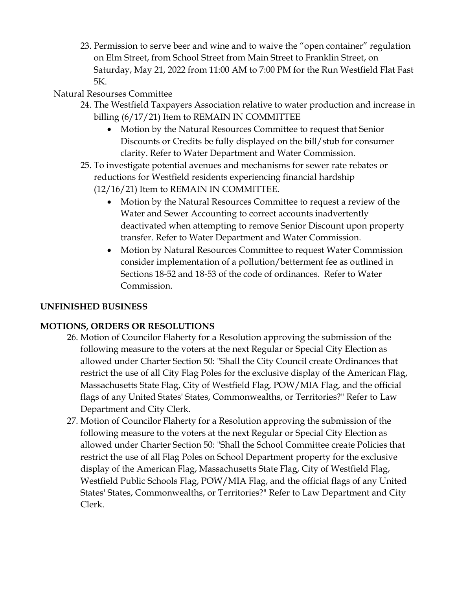23. Permission to serve beer and wine and to waive the "open container" regulation on Elm Street, from School Street from Main Street to Franklin Street, on Saturday, May 21, 2022 from 11:00 AM to 7:00 PM for the Run Westfield Flat Fast 5K.

# Natural Resourses Committee

- 24. The Westfield Taxpayers Association relative to water production and increase in billing (6/17/21) Item to REMAIN IN COMMITTEE
	- Motion by the Natural Resources Committee to request that Senior Discounts or Credits be fully displayed on the bill/stub for consumer clarity. Refer to Water Department and Water Commission.
- 25. To investigate potential avenues and mechanisms for sewer rate rebates or reductions for Westfield residents experiencing financial hardship (12/16/21) Item to REMAIN IN COMMITTEE.
	- Motion by the Natural Resources Committee to request a review of the Water and Sewer Accounting to correct accounts inadvertently deactivated when attempting to remove Senior Discount upon property transfer. Refer to Water Department and Water Commission.
	- Motion by Natural Resources Committee to request Water Commission consider implementation of a pollution/betterment fee as outlined in Sections 18-52 and 18-53 of the code of ordinances. Refer to Water Commission.

# **UNFINISHED BUSINESS**

# **MOTIONS, ORDERS OR RESOLUTIONS**

- 26. Motion of Councilor Flaherty for a Resolution approving the submission of the following measure to the voters at the next Regular or Special City Election as allowed under Charter Section 50: "Shall the City Council create Ordinances that restrict the use of all City Flag Poles for the exclusive display of the American Flag, Massachusetts State Flag, City of Westfield Flag, POW/MIA Flag, and the official flags of any United States' States, Commonwealths, or Territories?" Refer to Law Department and City Clerk.
- 27. Motion of Councilor Flaherty for a Resolution approving the submission of the following measure to the voters at the next Regular or Special City Election as allowed under Charter Section 50: "Shall the School Committee create Policies that restrict the use of all Flag Poles on School Department property for the exclusive display of the American Flag, Massachusetts State Flag, City of Westfield Flag, Westfield Public Schools Flag, POW/MIA Flag, and the official flags of any United States' States, Commonwealths, or Territories?" Refer to Law Department and City Clerk.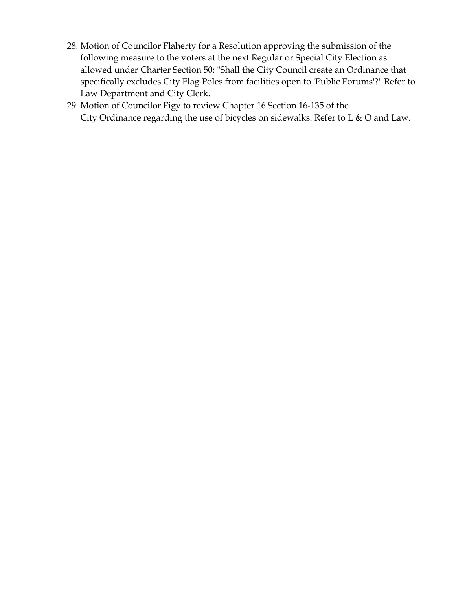- 28. Motion of Councilor Flaherty for a Resolution approving the submission of the following measure to the voters at the next Regular or Special City Election as allowed under Charter Section 50: "Shall the City Council create an Ordinance that specifically excludes City Flag Poles from facilities open to 'Public Forums'?" Refer to Law Department and City Clerk.
- 29. Motion of Councilor Figy to review Chapter 16 Section 16-135 of the City Ordinance regarding the use of bicycles on sidewalks. Refer to L & O and Law.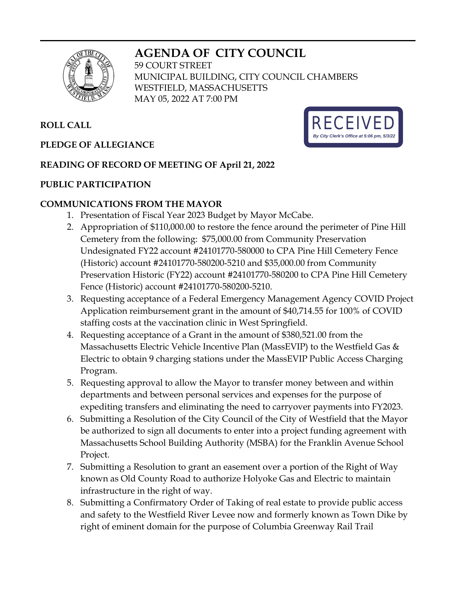# **AGENDA OF CITY COUNCIL**



59 COURT STREET MUNICIPAL BUILDING, CITY COUNCIL CHAMBERS WESTFIELD, MASSACHUSETTS MAY 05, 2022 AT 7:00 PM

# **ROLL CALL**

## **PLEDGE OF ALLEGIANCE**

## **READING OF RECORD OF MEETING OF April 21, 2022**

### **PUBLIC PARTICIPATION**

### **COMMUNICATIONS FROM THE MAYOR**

- 1. Presentation of Fiscal Year 2023 Budget by Mayor McCabe.
- 2. Appropriation of \$110,000.00 to restore the fence around the perimeter of Pine Hill Cemetery from the following: \$75,000.00 from Community Preservation Undesignated FY22 account #24101770-580000 to CPA Pine Hill Cemetery Fence (Historic) account #24101770-580200-5210 and \$35,000.00 from Community Preservation Historic (FY22) account #24101770-580200 to CPA Pine Hill Cemetery Fence (Historic) account #24101770-580200-5210.
- 3. Requesting acceptance of a Federal Emergency Management Agency COVID Project Application reimbursement grant in the amount of \$40,714.55 for 100% of COVID staffing costs at the vaccination clinic in West Springfield.
- 4. Requesting acceptance of a Grant in the amount of \$380,521.00 from the Massachusetts Electric Vehicle Incentive Plan (MassEVIP) to the Westfield Gas & Electric to obtain 9 charging stations under the MassEVIP Public Access Charging Program.
- 5. Requesting approval to allow the Mayor to transfer money between and within departments and between personal services and expenses for the purpose of expediting transfers and eliminating the need to carryover payments into FY2023.
- 6. Submitting a Resolution of the City Council of the City of Westfield that the Mayor be authorized to sign all documents to enter into a project funding agreement with Massachusetts School Building Authority (MSBA) for the Franklin Avenue School Project.
- 7. Submitting a Resolution to grant an easement over a portion of the Right of Way known as Old County Road to authorize Holyoke Gas and Electric to maintain infrastructure in the right of way.
- 8. Submitting a Confirmatory Order of Taking of real estate to provide public access and safety to the Westfield River Levee now and formerly known as Town Dike by right of eminent domain for the purpose of Columbia Greenway Rail Trail

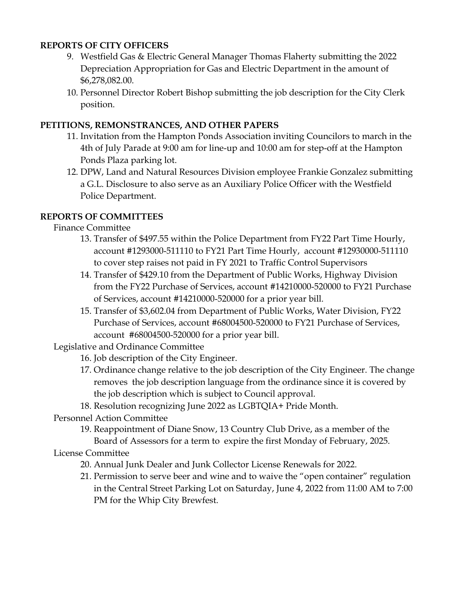## **REPORTS OF CITY OFFICERS**

- 9. Westfield Gas & Electric General Manager Thomas Flaherty submitting the 2022 Depreciation Appropriation for Gas and Electric Department in the amount of \$6,278,082.00.
- 10. Personnel Director Robert Bishop submitting the job description for the City Clerk position.

## **PETITIONS, REMONSTRANCES, AND OTHER PAPERS**

- 11. Invitation from the Hampton Ponds Association inviting Councilors to march in the 4th of July Parade at 9:00 am for line-up and 10:00 am for step-off at the Hampton Ponds Plaza parking lot.
- 12. DPW, Land and Natural Resources Division employee Frankie Gonzalez submitting a G.L. Disclosure to also serve as an Auxiliary Police Officer with the Westfield Police Department.

# **REPORTS OF COMMITTEES**

Finance Committee

- 13. Transfer of \$497.55 within the Police Department from FY22 Part Time Hourly, account #1293000-511110 to FY21 Part Time Hourly, account #12930000-511110 to cover step raises not paid in FY 2021 to Traffic Control Supervisors
- 14. Transfer of \$429.10 from the Department of Public Works, Highway Division from the FY22 Purchase of Services, account #14210000-520000 to FY21 Purchase of Services, account #14210000-520000 for a prior year bill.
- 15. Transfer of \$3,602.04 from Department of Public Works, Water Division, FY22 Purchase of Services, account #68004500-520000 to FY21 Purchase of Services, account #68004500-520000 for a prior year bill.

Legislative and Ordinance Committee

- 16. Job description of the City Engineer.
- 17. Ordinance change relative to the job description of the City Engineer. The change removes the job description language from the ordinance since it is covered by the job description which is subject to Council approval.
- 18. Resolution recognizing June 2022 as LGBTQIA+ Pride Month.

### Personnel Action Committee

19. Reappointment of Diane Snow, 13 Country Club Drive, as a member of the Board of Assessors for a term to expire the first Monday of February, 2025.

### License Committee

- 20. Annual Junk Dealer and Junk Collector License Renewals for 2022.
- 21. Permission to serve beer and wine and to waive the "open container" regulation in the Central Street Parking Lot on Saturday, June 4, 2022 from 11:00 AM to 7:00 PM for the Whip City Brewfest.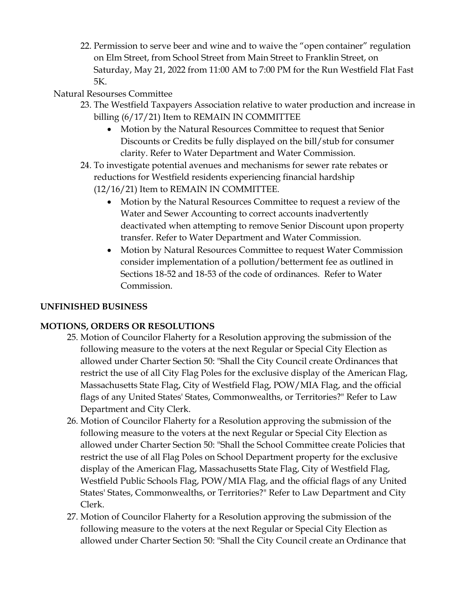22. Permission to serve beer and wine and to waive the "open container" regulation on Elm Street, from School Street from Main Street to Franklin Street, on Saturday, May 21, 2022 from 11:00 AM to 7:00 PM for the Run Westfield Flat Fast 5K.

# Natural Resourses Committee

- 23. The Westfield Taxpayers Association relative to water production and increase in billing (6/17/21) Item to REMAIN IN COMMITTEE
	- Motion by the Natural Resources Committee to request that Senior Discounts or Credits be fully displayed on the bill/stub for consumer clarity. Refer to Water Department and Water Commission.
- 24. To investigate potential avenues and mechanisms for sewer rate rebates or reductions for Westfield residents experiencing financial hardship (12/16/21) Item to REMAIN IN COMMITTEE.
	- Motion by the Natural Resources Committee to request a review of the Water and Sewer Accounting to correct accounts inadvertently deactivated when attempting to remove Senior Discount upon property transfer. Refer to Water Department and Water Commission.
	- Motion by Natural Resources Committee to request Water Commission consider implementation of a pollution/betterment fee as outlined in Sections 18-52 and 18-53 of the code of ordinances. Refer to Water Commission.

# **UNFINISHED BUSINESS**

# **MOTIONS, ORDERS OR RESOLUTIONS**

- 25. Motion of Councilor Flaherty for a Resolution approving the submission of the following measure to the voters at the next Regular or Special City Election as allowed under Charter Section 50: "Shall the City Council create Ordinances that restrict the use of all City Flag Poles for the exclusive display of the American Flag, Massachusetts State Flag, City of Westfield Flag, POW/MIA Flag, and the official flags of any United States' States, Commonwealths, or Territories?" Refer to Law Department and City Clerk.
- 26. Motion of Councilor Flaherty for a Resolution approving the submission of the following measure to the voters at the next Regular or Special City Election as allowed under Charter Section 50: "Shall the School Committee create Policies that restrict the use of all Flag Poles on School Department property for the exclusive display of the American Flag, Massachusetts State Flag, City of Westfield Flag, Westfield Public Schools Flag, POW/MIA Flag, and the official flags of any United States' States, Commonwealths, or Territories?" Refer to Law Department and City Clerk.
- 27. Motion of Councilor Flaherty for a Resolution approving the submission of the following measure to the voters at the next Regular or Special City Election as allowed under Charter Section 50: "Shall the City Council create an Ordinance that